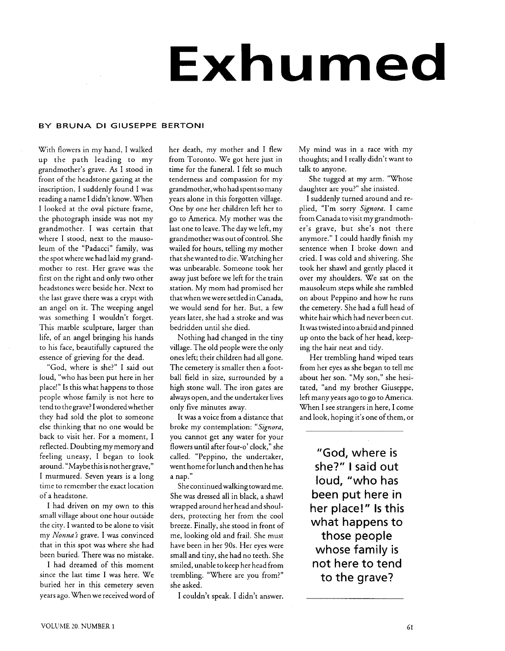## **Exhumed**

## BY BRUNA **DI** GIUSEPPE BERTONI

With flowers in my hand, I walked up the path leading to my grandmother's grave. As I stood in front of the headstone gazing at the inscription, I suddenly found I was reading a name I didn't know. When I looked at the oval picture frame, the photograph inside was not my grandmother. I was certain that where I stood, next to the mausoleum of the "Padacci" family, was the spot where we had laid my grandmother to rest. Her grave was the first on the right and only two other headstones were beside her. Next to the last grave there was a crypt with an angel on it. The weeping angel was something I wouldn't forget. This marble sculpture, larger than life, of an angel bringing his hands to his face, beautifully captured the essence of grieving for the dead.

"God, where is she?" I said out loud, "who has been put here in her place!" Is this what happens to those people whose family is not here to tend to thegrave? I wonderedwhether they had sold the plot to someone else thinking that no one would be back to visit her. For a moment, I reflected. Doubting my memoryand feeling uneasy, I began to look around. "Maybe this is not her grave," I murmured. Seven years is a long time to remember the exact location of a headstone.

I had driven on my own to this small village about one hour outside the city. I wanted to be alone to visit my *Nonna's* grave. I was convinced that in this spot was where she had been buried. There was no mistake.

I had dreamed of this moment since the last time I was here. We buried her in this cemetery seven years ago. When we received word of I couldn't speak. I didn't answer.

her death, my mother and I flew from Toronto. We got here just in time for the funeral. I felt so much tenderness and compassion for my grandmother, who had spent so many years alone in this forgotten village. One by one her children left her to go to America. My mother was the last one to leave. The day we left, my grandmother was out of control. She wailed for hours, telling my mother that she wanted to die. Watching her was unbearable. Someone took her away just before we left for the train station. My mom had promised her thatwhen we were settled in Canada, we would send for her. But, a few years later, she had a stroke and was bedridden until she died.

Nothing had changed in the tiny village. The old people were the only ones left; their children had all gone. The cemetery is smaller then a football field in size, surrounded by a high stone wall. The iron gates are always open, and the undertaker lives only five minutes away.

It was a voice from a distance that broke my contemplation: *"Signora,*  you cannot get any water for your flowers until after four-o' clock," she called. "Peppino, the undertaker, went home for lunch and then he has a nap."

She continued walking toward me. She was dressed all in black, a shawl wrapped around her head and shoulders, protecting her from the cool breeze. Finally, she stood in front of me, looking old and frail. She must have been in her 90s. Her eyes were small and tiny, she had no teeth. She smiled, unable to keep her head from trembling. "Where are you from?" she asked.

My mind was in a race with my thoughts; and I really didn't want to talk to anyone.

She tugged at my arm. "Whose daughter are you?" she insisted.

I suddenly turned around and replied, "I'm sorry *Signora.* I came from Canada to visit my grandmother's grave, but she's not there anymore." I could hardly finish my sentence when I broke down and cried. I was cold and shivering. She took her shawl and gently placed it over my shoulders. We sat on the mausoleum steps while she rambled on about Peppino and how he runs the cemetery. She had a full head of white hair which had never been cut. Itwas twisted into a braid and pinned up onto the back of her head, keeping the hair neat and tidy.

Her trembling hand wiped tears from her eyes as she began to tell me about her son. "My son," she hesitated, "and my brother Giuseppe, left many years ago to go to America. When I see strangers in here, I come and look, hoping it's one of them, or

"God, where is she?" I said out loud, "who has been put here in her place!" Is this what happens to those people whose family is not here to tend to the grave?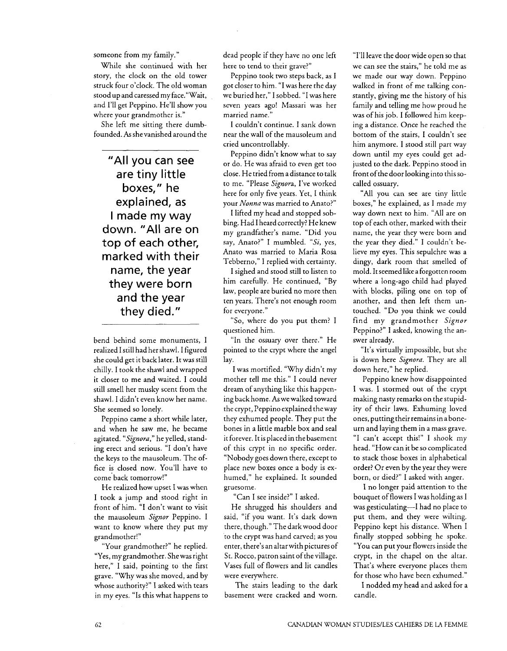someone from my family."

While she continued with her story, the clock on the old tower struck four o'clock. The old woman stood up and caressed my face."Wait, and I'll get Peppino. He'll show you where your grandmother is."

She left me sitting there dumbfounded. Asshe vanished around the

"All you can see are tiny little boxes," he explained, as I made my way down. "All are on top of each other, marked with their name, the year they were born and the year they died."

bend behind some monuments, I realized I still had her shawl. I figured she could get it back later. It was still chilly. I took the shawl and wrapped it closer to me and waited. I could still smell her musky scent from the shawl. I didn't even know her name. She seemed so lonely.

Peppino came a short while later, and when he saw me, he became agitated. *"Signora,"* he yelled, standing erect and serious. "I don't have the keys to the mausoleum. The office is closed now. You'll have to come'back tomorrow!"

He realized how upset I was when I took a jump and stood right in front of him. "I don't want to visit the mausoleum *Signor* Peppino. I want to know where they put my grandmother!"

"Your grandmother?" he replied. "Yes, my grandmother. Shewas right here," I said, pointing to the first grave. "Why was she moved, and by whose authority?" I asked with tears in my eyes. "Is this what happens to dead people if they have no one left here to tend to their grave?"

Peppino took two steps back, as I got closer to him. "I was here the day we buried her," I sobbed. "I was here seven years ago! Massari was her married name."

I couldn't continue. I sank down near the wall of the mausoleum and cried uncontrollably.

Peppino didn't know what to say or do. He was afraid to even get too close. He tried from adistance to talk to me. "Please *Signora,* I've worked here for only five years. Yet, I think your *Nonna* was married to Anato?"

I lifted my head and stopped sobbing. Had I heard correctly? He knew my gandfather's name. "Did you say, Anaco?" I mumbled. *"Si,* yes, Anato was married to Maria Rosa Tebberno," I replied with certainty.

I sighed and stood still to listen to him carefully. He continued, "By law, people are buried no more then ten years. There's not enough room for everyone."

"So, where do you put them? I questioned him.

"In the ossuary over there." He pointed to the crypt where the angel lay.

I was mortified. "Why didn't my mother tell me this." I could never dream of anything like this happening back home. As we walked toward the crypt, Peppino explained theway they exhumed people. They put the bones in a little marble box and seal it forever. It is placed in the basement of this crypt in no specific order. "Nobody goes down there, except to place new boxes once a body is exhumed," he explained. It sounded gruesome.

"Can I see inside?" I asked.

He shrugged his shoulders and said, "if you want. It's dark down there, though." The dark wood door to the crypt was hand carved; as you enter, there's an altarwith pictures of St. Rocco, patron saint of the village. Vases full of flowers and lit candles were everywhere.

The stairs leading to the dark basement were cracked and worn.

"I'll leave the door wide open so that we can see the stairs," he told me as we made our way down. Peppino walked in front of me talking constantly, giving me the history of his family and telling me how proud he was of his job. I followed him keeping a distance. Once he reached the bottom of the stairs, I couldn't see him anymore. I stood still part way down until my eyes could get adjusted to the dark. Peppino stood in front ofthe door looking into this socalled ossuary.

"All you can see are tiny little boxes," he explained, as I made my way down next to him. **"All** are on top of each other, marked with their name, the year they were born and the year they died." I couldn't believe my eyes. This sepulchre was a dingy, dark room that smelled of mold. It seemed like a forgotten room where a long-ago child had played with blocks, piling one on top of another, and then left them untouched. "Do you think we could find my grandmother *Signor*  Peppino?" I asked, knowing the answer already.

"It's virtually impossible, but she is down here *Signora.* They are all down here," he replied.

Peppino knew how disappointed I was. I stormed out of the crypt making nasty remarks on the stupidity of their laws. Exhuming loved ones, putting their remains in a boneurn and laying them in a mass grave. "I can't accept this!" I shook my head. "How can it be so complicated to stack those boxes in alphabetical order? Or even by the year they were born, or died?" I asked with anger.

I no longer paid attention to the bouquet of flowers I was holding as I was gesticulating-I had no place to put them, and they were wilting. Peppino kept his distance. When I finally stopped sobbing he spoke. "You can put your flowers inside the crypt, in the chapel on the altar. That's where everyone places them for those who have been exhumed."

I nodded my head and asked for a candle.